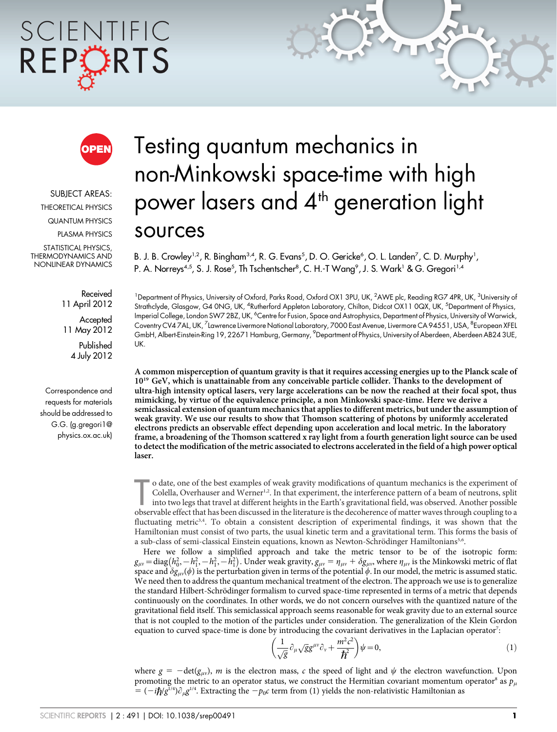# SCIENTIFIC REPORTS



SUBJECT AREAS: THEORETICAL PHYSICS QUANTUM PHYSICS PLASMA PHYSICS STATISTICAL PHYSICS, THERMODYNAMICS AND NONLINEAR DYNAMICS

> Received 11 April 2012 **Accepted**

11 May 2012 Published 4 July 2012

Correspondence and requests for materials should be addressed to G.G. (g.gregori1@ physics.ox.ac.uk)

# Testing quantum mechanics in non-Minkowski space-time with high power lasers and 4<sup>th</sup> generation light sources

B. J. B. Crowley<sup>1,2</sup>, R. Bingham<sup>3,4</sup>, R. G. Evans<sup>5</sup>, D. O. Gericke<sup>6</sup>, O. L. Landen<sup>7</sup>, C. D. Murphy<sup>1</sup>, P. A. Norreys<sup>4,5</sup>, S. J. Rose<sup>5</sup>, Th Tschentscher<sup>8</sup>, C. H.-T Wang<sup>9</sup>, J. S. Wark<sup>1</sup> & G. Gregori<sup>1,4</sup>

<sup>1</sup>Department of Physics, University of Oxford, Parks Road, Oxford OX1 3PU, UK, <sup>2</sup>AWE plc, Reading RG7 4PR, UK, <sup>3</sup>University of Strathclyde, Glasgow, G4 0NG, UK, <sup>4</sup>Rutherford Appleton Laboratory, Chilton, Didcot OX11 0QX, UK, <sup>5</sup>Department of Physics, Imperial College, London SW7 2BZ, UK, <sup>6</sup>Centre for Fusion, Space and Astrophysics, Department of Physics, University of Warwick, Coventry CV4 7AL, UK, <sup>7</sup>Lawrence Livermore National Laboratory, 7000 East Avenue, Livermore CA 94551, USA, <sup>8</sup>European XFEL GmbH, Albert-Einstein-Ring 19, 22671 Hamburg, Germany, <sup>9</sup>Department of Physics, University of Aberdeen, Aberdeen AB24 3UE, UK.

A common misperception of quantum gravity is that it requires accessing energies up to the Planck scale of 10<sup>19</sup> GeV, which is unattainable from any conceivable particle collider. Thanks to the development of ultra-high intensity optical lasers, very large accelerations can be now the reached at their focal spot, thus mimicking, by virtue of the equivalence principle, a non Minkowski space-time. Here we derive a semiclassical extension of quantum mechanics that applies to different metrics, but under the assumption of weak gravity. We use our results to show that Thomson scattering of photons by uniformly accelerated electrons predicts an observable effect depending upon acceleration and local metric. In the laboratory frame, a broadening of the Thomson scattered x ray light from a fourth generation light source can be used to detect the modification of the metric associated to electrons accelerated in the field of a high power optical laser.

o date, one of the best examples of weak gravity modifications of quantum mechanics is the experiment of Colella, Overhauser and Werner<sup>1,2</sup>. In that experiment, the interference pattern of a beam of neutrons, split into t o date, one of the best examples of weak gravity modifications of quantum mechanics is the experiment of Colella, Overhauser and Werner<sup>1,2</sup>. In that experiment, the interference pattern of a beam of neutrons, split into two legs that travel at different heights in the Earth's gravitational field, was observed. Another possible fluctuating metric<sup>3,4</sup>. To obtain a consistent description of experimental findings, it was shown that the Hamiltonian must consist of two parts, the usual kinetic term and a gravitational term. This forms the basis of a sub-class of semi-classical Einstein equations, known as Newton-Schrödinger Hamiltonians<sup>5,6</sup>.

Here we follow a simplified approach and take the metric tensor to be of the isotropic form:  $g_{\mu\nu} = \text{diag}(h_0^2, -h_1^2, -h_1^2, -h_1^2)$ . Under weak gravity,  $g_{\mu\nu} = \eta_{\mu\nu} + \delta g_{\mu\nu}$ , where  $\eta_{\mu\nu}$  is the Minkowski metric of flat space and  $\delta g_{\mu\nu}(\phi)$  is the perturbation given in terms of the potential  $\phi$ . In our model, the metric is assumed static. We need then to address the quantum mechanical treatment of the electron. The approach we use is to generalize the standard Hilbert-Schrödinger formalism to curved space-time represented in terms of a metric that depends continuously on the coordinates. In other words, we do not concern ourselves with the quantized nature of the gravitational field itself. This semiclassical approach seems reasonable for weak gravity due to an external source that is not coupled to the motion of the particles under consideration. The generalization of the Klein Gordon equation to curved space-time is done by introducing the covariant derivatives in the Laplacian operator<sup>7</sup>:

$$
\left(\frac{1}{\sqrt{g}}\partial_{\mu}\sqrt{g}g^{\mu\nu}\partial_{\nu} + \frac{m^2c^2}{\hbar^2}\right)\psi = 0,
$$
\n(1)

where  $g = -\text{det}(g_{\mu\nu})$ , m is the electron mass, c the speed of light and  $\psi$  the electron wavefunction. Upon promoting the metric to an operator status, we construct the Hermitian covariant momentum operator<sup>8</sup> as  $p_{\mu}$  $= (-i\hbar/g^{1/4})\partial_{\mu}g^{1/4}$ . Extracting the  $-p_{0}c$  term from (1) yields the non-relativistic Hamiltonian as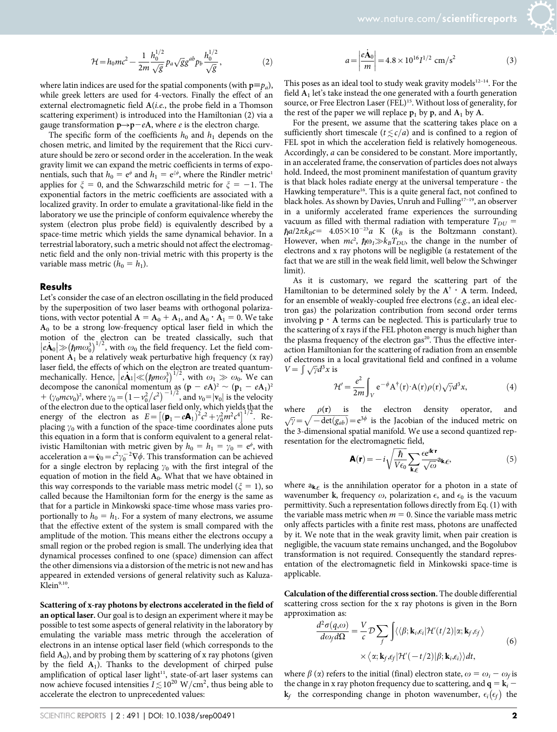$$
\mathcal{H} = h_0 mc^2 - \frac{1}{2m} \frac{h_0^{1/2}}{\sqrt{g}} p_a \sqrt{g} g^{ab} p_b \frac{h_0^{1/2}}{\sqrt{g}},
$$
 (2)

where latin indices are used for the spatial components (with  $p \equiv p_a$ ), while greek letters are used for 4-vectors. Finally the effect of an external electromagnetic field A(i.e., the probe field in a Thomson scattering experiment) is introduced into the Hamiltonian (2) via a gauge transformation  $p\rightarrow p-eA$ , where *e* is the electron charge.

The specific form of the coefficients  $h_0$  and  $h_1$  depends on the chosen metric, and limited by the requirement that the Ricci curvature should be zero or second order in the acceleration. In the weak gravity limit we can expand the metric coefficients in terms of exponentials, such that  $h_0 = e^{\phi}$  and  $h_1 = e^{\xi \phi}$ , where the Rindler metric<sup>1</sup> applies for  $\xi = 0$ , and the Schwarzschild metric for  $\xi = -1$ . The exponential factors in the metric coefficients are associated with a localized gravity. In order to emulate a gravitational-like field in the laboratory we use the principle of conform equivalence whereby the system (electron plus probe field) is equivalently described by a space-time metric which yields the same dynamical behavior. In a terrestrial laboratory, such a metric should not affect the electromagnetic field and the only non-trivial metric with this property is the variable mass metric  $(h_0 = h_1)$ .

#### Results

Let's consider the case of an electron oscillating in the field produced by the superposition of two laser beams with orthogonal polarizations, with vector potential  $A = A_0 + A_1$ , and  $A_0 \cdot A_1 = 0$ . We take  $A_0$  to be a strong low-frequency optical laser field in which the motion of the electron can be treated classically, such that  $\ket{e\mathbf{A}_0} \gg (\hbar m \omega_0^3)^{1/2}$ , with  $\omega_0$  the field frequency. Let the field component  $A_1$  be a relatively weak perturbative high frequency (x ray) laser field, the effects of which on the electron are treated quantumlaser field, the effects of which on the electron are treated quantum-<br>mechanically. Hence,  $|e\mathbf{A}i| \ll (h m \omega_1^3)^{1/2}$ , with  $\omega_1 \gg \omega_0$ . We can decompose the canonical momentum as  $(p - eA)^2 \sim (p_1 - eA_1)^2$  $+( \gamma_0 m c v_0)^2$ , where  $\gamma_0 = (1 - v_0^2/c^2)^{-1/2}$ , and  $v_0 = |\mathbf{v}_0|$  is the velocity of the electron due to the optical laser field only, which yields that the energy of the electron as  $E = [(\mathbf{p}_1 - e\mathbf{A}_1)^2 c^2 + \gamma_0^2 m^2 c^4]^{1/2}$ . Replacing  $\gamma_0$  with a function of the space-time coordinates alone puts this equation in a form that is conform equivalent to a general relativistic Hamiltonian with metric given by  $h_0 = h_1 = \gamma_0 = e^{\phi}$ , with acceleration a= $\dot{\mathbf{v}}_0 = c^2 \gamma_0^{-2} \nabla \phi$ . This transformation can be achieved for a single electron by replacing  $\gamma_0$  with the first integral of the equation of motion in the field  $A_0$ . What that we have obtained in this way corresponds to the variable mass metric model ( $\xi = 1$ ), so called because the Hamiltonian form for the energy is the same as that for a particle in Minkowski space-time whose mass varies proportionally to  $h_0 = h_1$ . For a system of many electrons, we assume that the effective extent of the system is small compared with the amplitude of the motion. This means either the electrons occupy a small region or the probed region is small. The underlying idea that dynamical processes confined to one (space) dimension can affect the other dimensions via a distorsion of the metric is not new and has appeared in extended versions of general relativity such as Kaluza-Klein<sup>9,10</sup>.

Scattering of x-ray photons by electrons accelerated in the field of an optical laser. Our goal is to design an experiment where it may be possible to test some aspects of general relativity in the laboratory by emulating the variable mass metric through the acceleration of electrons in an intense optical laser field (which corresponds to the field  $A_0$ ), and by probing them by scattering of x ray photons (given by the field  $A_1$ ). Thanks to the development of chirped pulse amplification of optical laser light $11$ , state-of-art laser systems can now achieve focused intensities  $I \lesssim 10^{20} \text{ W/cm}^2$ , thus being able to accelerate the electron to unprecedented values:

$$
a = \left| \frac{e\dot{\mathbf{A}}_0}{m} \right| = 4.8 \times 10^{16} I^{1/2} \text{ cm/s}^2 \tag{3}
$$

This poses as an ideal tool to study weak gravity models $12-14$ . For the field  $A_1$  let's take instead the one generated with a fourth generation source, or Free Electron Laser (FEL)<sup>15</sup>. Without loss of generality, for the rest of the paper we will replace  $p_1$  by p, and  $A_1$  by A.

For the present, we assume that the scattering takes place on a sufficiently short timescale ( $t \le c/a$ ) and is confined to a region of FEL spot in which the acceleration field is relatively homogeneous. Accordingly, a can be considered to be constant. More importantly, in an accelerated frame, the conservation of particles does not always hold. Indeed, the most prominent manifestation of quantum gravity is that black holes radiate energy at the universal temperature - the Hawking temperature<sup>16</sup>. This is a quite general fact, not confined to black holes. As shown by Davies, Unruh and Fulling<sup>17-19</sup>, an observer in a uniformly accelerated frame experiences the surrounding vacuum as filled with thermal radiation with temperature  $T_{DU}$  =  $\hbar a/2\pi k_B c = 4.05 \times 10^{-23} a$  K (k<sub>B</sub> is the Boltzmann constant). However, when  $mc^2$ ,  $\hbar \omega_1 \gg k_B T_{DU}$ , the change in the number of electrons and x ray photons will be negligible (a restatement of the fact that we are still in the weak field limit, well below the Schwinger limit).

As it is customary, we regard the scattering part of the Hamiltonian to be determined solely by the  $A^{\dagger} \cdot A$  term. Indeed, for an ensemble of weakly-coupled free electrons (e.g., an ideal electron gas) the polarization contribution from second order terms involving  $p \cdot A$  terms can be neglected. This is particularly true to the scattering of x rays if the FEL photon energy is much higher than the plasma frequency of the electron gas<sup>20</sup>. Thus the effective interaction Hamiltonian for the scattering of radiation from an ensemble of electrons in a local gravitational field and confined in a volume  $V = \int \sqrt{\gamma} d^3x$  is

$$
\mathcal{H}' = \frac{e^2}{2m} \int_V e^{-\phi} A^{\dagger}(r) \cdot A(r) \rho(r) \sqrt{\gamma} d^3 x,\tag{4}
$$

where  $\rho(\mathbf{r})$  is the electron density operator, and  $\sqrt{\gamma} = \sqrt{-\det(g_{ab})} = e^{3\phi}$  is the Jacobian of the induced metric on the 3-dimensional spatial manifold. We use a second quantized representation for the electromagnetic field,

$$
\mathbf{A}(\mathbf{r}) = -i\sqrt{\frac{\hbar}{V\epsilon_0}} \sum_{\mathbf{k},\epsilon} \frac{\epsilon e^{i\mathbf{k}\cdot\mathbf{r}}}{\sqrt{\omega}} a_{\mathbf{k},\epsilon},
$$
(5)

where  $a_{k,\epsilon}$  is the annihilation operator for a photon in a state of wavenumber k, frequency  $\omega$ , polarization  $\epsilon$ , and  $\epsilon_0$  is the vacuum permittivity. Such a representation follows directly from Eq. (1) with the variable mass metric when  $m = 0$ . Since the variable mass metric only affects particles with a finite rest mass, photons are unaffected by it. We note that in the weak gravity limit, when pair creation is negligible, the vacuum state remains unchanged, and the Bogolubov transformation is not required. Consequently the standard representation of the electromagnetic field in Minkowski space-time is applicable.

Calculation of the differential cross section. The double differential scattering cross section for the x ray photons is given in the Born approximation as:

$$
\frac{d^2\sigma(q,\omega)}{d\omega_f d\Omega} = \frac{V}{c} \mathcal{D} \sum_{f} \int \langle \langle \beta; \mathbf{k}_i, \epsilon_i | \mathcal{H}'(t/2) | \alpha; \mathbf{k}_f, \epsilon_f \rangle
$$
  
 
$$
\times \langle \alpha; \mathbf{k}_f, \epsilon_f | \mathcal{H}'(-t/2) | \beta; \mathbf{k}_i, \epsilon_i \rangle \rangle dt,
$$
 (6)

where  $\beta$  ( $\alpha$ ) refers to the initial (final) electron state,  $\omega = \omega_i - \omega_f$  is the change in x ray photon frequency due to scattering, and  $q = k_i$ the corresponding change in photon wavenumber,  $\epsilon_i$  ( $\epsilon_f$ ) the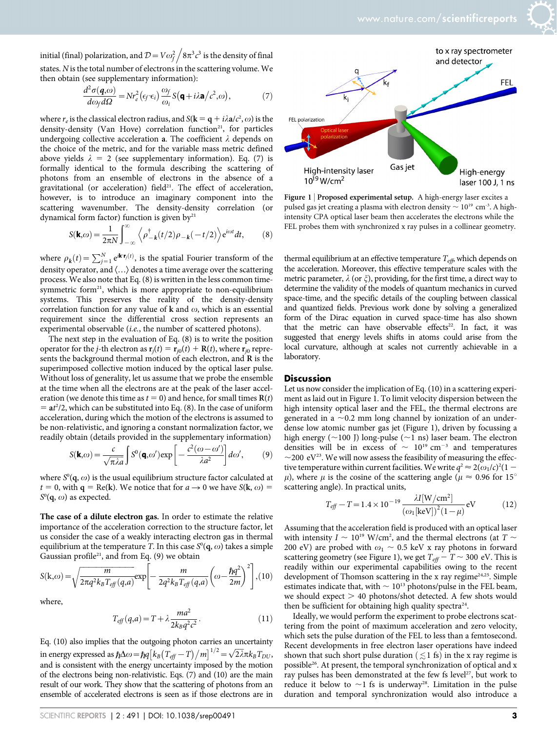initial (final) polarization, and  $\mathcal{D} = V \omega_f^2$  $\sqrt{8\pi^3c^3}$  is the density of final states. Nis the total number of electrons in the scattering volume. We then obtain (see supplementary information):

$$
\frac{d^2\sigma(\mathbf{q},\omega)}{d\omega_f d\Omega} = Nr_e^2(\epsilon_f \cdot \epsilon_i) \frac{\omega_f}{\omega_i} S(\mathbf{q} + i\lambda \mathbf{a}/c^2, \omega),
$$
 (7)

where  $r_e$  is the classical electron radius, and  $S(k = q + i\lambda a/c^2, \omega)$  is the density-density (Van Hove) correlation function<sup>21</sup>, for particles undergoing collective acceleration a. The coefficient  $\lambda$  depends on the choice of the metric, and for the variable mass metric defined above yields  $\lambda = 2$  (see supplementary information). Eq. (7) is formally identical to the formula describing the scattering of photons from an ensemble of electrons in the absence of a gravitational (or acceleration) field<sup>21</sup>. The effect of acceleration, however, is to introduce an imaginary component into the scattering wavenumber. The density-density correlation (or dynamical form factor) function is given  $by<sup>21</sup>$ 

$$
S(\mathbf{k},\omega) = \frac{1}{2\pi N} \int_{-\infty}^{\infty} \left\langle \rho_{-\mathbf{k}}^{\dagger}(t/2)\rho_{-\mathbf{k}}(-t/2) \right\rangle e^{i\omega t} dt, \qquad (8)
$$

where  $\rho_{\bm{k}}(t) = \sum_{j=1}^{N} e^{i\bm{k}\cdot\bm{r}_j(t)}$ , is the spatial Fourier transform of the density operator, and  $\langle \ldots \rangle$  denotes a time average over the scattering process. We also note that Eq. (8) is written in the less common timesymmetric form $21$ , which is more appropriate to non-equilibrium systems. This preserves the reality of the density-density correlation function for any value of  $k$  and  $\omega$ , which is an essential requirement since the differential cross section represents an experimental observable (i.e., the number of scattered photons).

The next step in the evaluation of Eq. (8) is to write the position operator for the *j*-th electron as  $\mathbf{r}_i(t) = \mathbf{r}_{i0}(t) + \mathbf{R}(t)$ , where  $\mathbf{r}_{i0}$  represents the background thermal motion of each electron, and R is the superimposed collective motion induced by the optical laser pulse. Without loss of generality, let us assume that we probe the ensemble at the time when all the electrons are at the peak of the laser acceleration (we denote this time as  $t = 0$ ) and hence, for small times  $R(t)$  $=$  at<sup>2</sup>/2, which can be substituted into Eq. (8). In the case of uniform acceleration, during which the motion of the electrons is assumed to be non-relativistic, and ignoring a constant normalization factor, we readily obtain (details provided in the supplementary information)

$$
S(\mathbf{k},\omega) = \frac{c}{\sqrt{\pi\lambda a}} \int S^{0}(\mathbf{q},\omega') \exp\left[-\frac{c^{2}(\omega-\omega')}{\lambda a^{2}}\right] d\omega',
$$
 (9)

where  $S^0({\bf q},\omega)$  is the usual equilibrium structure factor calculated at  $t = 0$ , with  $q = Re(k)$ . We notice that for  $a \rightarrow 0$  we have  $S(k, \omega) =$  $S^0(\mathbf{q}, \omega)$  as expected.

The case of a dilute electron gas. In order to estimate the relative importance of the acceleration correction to the structure factor, let us consider the case of a weakly interacting electron gas in thermal equilibrium at the temperature T. In this case  $S^0(\mathbf{q}, \omega)$  takes a simple Gaussian profile<sup>21</sup>, and from Eq. (9) we obtain

$$
S(k,\omega) = \sqrt{\frac{m}{2\pi q^2 k_B T_{eff}(q,a)}} \exp\left[-\frac{m}{2q^2 k_B T_{eff}(q,a)} \left(\omega - \frac{\hbar q^2}{2m}\right)^2\right], (10)
$$

where,

$$
T_{\text{eff}}(q,a) = T + \lambda \frac{ma^2}{2k_B q^2 c^2}.
$$
 (11)

Eq. (10) also implies that the outgoing photon carries an uncertainty in energy expressed as  $\hbar \Delta \omega = \hbar q \left[ k_B \left( T_{\text{eff}} - T \right) / m \right]^{1/2} = \sqrt{2 \lambda} \pi k_B T_{DU}$ , and is consistent with the energy uncertainty imposed by the motion of the electrons being non-relativistic. Eqs. (7) and (10) are the main result of our work. They show that the scattering of photons from an ensemble of accelerated electrons is seen as if those electrons are in



Figure 1 | Proposed experimental setup. A high-energy laser excites a pulsed gas jet creating a plasma with electron density  $\sim 10^{19}$  cm<sup>-3</sup>. A highintensity CPA optical laser beam then accelerates the electrons while the FEL probes them with synchronized x ray pulses in a collinear geometry.

thermal equilibrium at an effective temperature  $T_{\text{eff}}$ , which depends on the acceleration. Moreover, this effective temperature scales with the metric parameter,  $\lambda$  (or  $\xi$ ), providing, for the first time, a direct way to determine the validity of the models of quantum mechanics in curved space-time, and the specific details of the coupling between classical and quantized fields. Previous work done by solving a generalized form of the Dirac equation in curved space-time has also shown that the metric can have observable effects<sup>22</sup>. In fact, it was suggested that energy levels shifts in atoms could arise from the local curvature, although at scales not currently achievable in a laboratory.

#### **Discussion**

Let us now consider the implication of Eq. (10) in a scattering experiment as laid out in Figure 1. To limit velocity dispersion between the high intensity optical laser and the FEL, the thermal electrons are generated in a  $\sim$ 0.2 mm long channel by ionization of an underdense low atomic number gas jet (Figure 1), driven by focussing a high energy ( $\sim$ 100 J) long-pulse ( $\sim$ 1 ns) laser beam. The electron densities will be in excess of  $\sim 10^{19}$  cm<sup>-3</sup> and temperatures  $\sim$ 200 eV<sup>23</sup>. We will now assess the feasibility of measuring the effective temperature within current facilities. We write  $q^2 \approx 2(\omega_1/c)^2(1 \mu$ ), where  $\mu$  is the cosine of the scattering angle ( $\mu \approx 0.96$  for 15<sup>o</sup> scattering angle). In practical units,

$$
T_{eff} - T = 1.4 \times 10^{-19} \frac{\lambda I[W/cm^2]}{(\omega_1[\text{keV}])^2 (1 - \mu)} \text{eV}
$$
 (12)

Assuming that the acceleration field is produced with an optical laser with intensity  $I \sim 10^{19}$  W/cm<sup>2</sup>, and the thermal electrons (at  $T \sim$ 200 eV) are probed with  $\omega_1 \sim 0.5$  keV x ray photons in forward scattering geometry (see Figure 1), we get  $T_{\text{eff}} - T \sim 300 \text{ eV}$ . This is readily within our experimental capabilities owing to the recent development of Thomson scattering in the x ray regime<sup>24,25</sup>. Simple estimates indicate that, with  $\sim 10^{13}$  photons/pulse in the FEL beam, we should expect  $> 40$  photons/shot detected. A few shots would then be sufficient for obtaining high quality spectra<sup>24</sup>.

Ideally, we would perform the experiment to probe electrons scattering from the point of maximum acceleration and zero velocity, which sets the pulse duration of the FEL to less than a femtosecond. Recent developments in free electron laser operations have indeed shown that such short pulse duration ( $\lesssim$  1 fs) in the x ray regime is possible<sup>26</sup>. At present, the temporal synchronization of optical and x ray pulses has been demonstrated at the few fs level<sup>27</sup>, but work to reduce it below to  $\sim$ 1 fs is underway<sup>28</sup>. Limitation in the pulse duration and temporal synchronization would also introduce a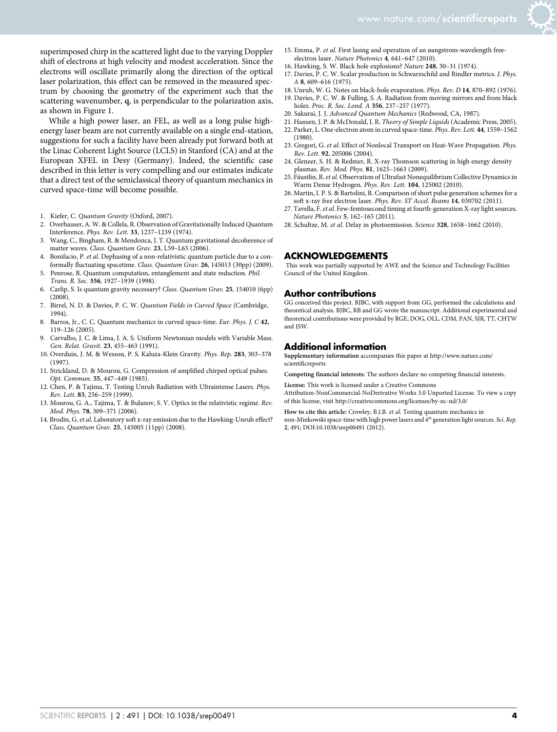

superimposed chirp in the scattered light due to the varying Doppler shift of electrons at high velocity and modest acceleration. Since the electrons will oscillate primarily along the direction of the optical laser polarization, this effect can be removed in the measured spectrum by choosing the geometry of the experiment such that the scattering wavenumber, q, is perpendicular to the polarization axis, as shown in Figure 1.

While a high power laser, an FEL, as well as a long pulse highenergy laser beam are not currently available on a single end-station, suggestions for such a facility have been already put forward both at the Linac Coherent Light Source (LCLS) in Stanford (CA) and at the European XFEL in Desy (Germany). Indeed, the scientific case described in this letter is very compelling and our estimates indicate that a direct test of the semiclassical theory of quantum mechanics in curved space-time will become possible.

- 1. Kiefer, C. Quantum Gravity (Oxford, 2007).<br>2. Overhauser, A. W. & Collela, R. Observation of
- 2. Overhauser, A. W. & Collela, R. Observation of Gravitationally Induced Quantum Interference. Phys. Rev. Lett. 33, 1237–1239 (1974).
- 3. Wang, C., Bingham, R. & Mendonca, J. T. Quantum gravitational decoherence of matter waves. Class. Quantum Grav. 23, L59–L65 (2006).
- 4. Bonifacio, P. et al. Dephasing of a non-relativistic quantum particle due to a conformally fluctuating spacetime. Class. Quantum Grav. 26, 145013 (30pp) (2009).
- 5. Penrose, R. Quantum computation, entanglement and state reduction. Phil. Trans. R. Soc. 356, 1927–1939 (1998).
- 6. Carlip, S. Is quantum gravity necessary? Class. Quantum Grav. 25, 154010 (6pp)  $(2008)$
- 7. Birrel, N. D. & Davies, P. C. W. Quantum Fields in Curved Space (Cambridge, 1994).
- 8. Barros, Jr., C. C. Quantum mechanics in curved space-time. Eur. Phys. J. C 42, 119–126 (2005).
- 9. Carvalho, J. C. & Lima, J. A. S. Uniform Newtonian models with Variable Mass. Gen. Relat. Gravit. 23, 455–463 (1991).
- 10. Overduin, J. M. & Wesson, P. S. Kaluza-Klein Gravity. Phys. Rep. 283, 303–378 (1997).
- 11. Strickland, D. & Mourou, G. Compression of amplified chirped optical pulses. Opt. Commun. 55, 447–449 (1985).
- 12. Chen, P. & Tajima, T. Testing Unruh Radiation with Ultraintense Lasers. Phys. Rev. Lett. 83, 256–259 (1999).
- 13. Mourou, G. A., Tajima, T. & Bulanov, S. V. Optics in the relativistic regime. Rev. Mod. Phys. 78, 309–371 (2006).
- 14. Brodin, G. et al. Laboratory soft x-ray emission due to the Hawking-Unruh effect? Class. Quantum Grav. 25, 145005 (11pp) (2008).
- 15. Emma, P. et al. First lasing and operation of an øangstrom-wavelength freeelectron laser. Nature Photonics 4, 641-647 (2010).
- 16. Hawking, S. W. Black hole explosions? Nature 248, 30–31 (1974).
- 17. Davies, P. C. W. Scalar production in Schwarzschild and Rindler metrics. J. Phys. A 8, 609–616 (1975).
- 18. Unruh, W. G. Notes on black-hole evaporation. Phys. Rev. D 14, 870–892 (1976).
- 19. Davies, P. C. W. & Fulling, S. A. Radiation from moving mirrors and from black holes. Proc. R. Soc. Lond. A 356, 237-257 (1977).
- 20. Sakurai, J. J. Advanced Quantum Mechanics (Redwood, CA, 1987).
- 21. Hansen, J. P. & McDonald, I. R. Theory of Simple Liquids (Academic Press, 2005).
- 22. Parker, L. One-electron atom in curved space-time. Phys. Rev. Lett. 44, 1559–1562 (1980).
- 23. Gregori, G. et al. Effect of Nonlocal Transport on Heat-Wave Propagation. Phys. Rev. Lett. 92, 205006 (2004).
- 24. Glenzer, S. H. & Redmer, R. X-ray Thomson scattering in high energy density plasmas. Rev. Mod. Phys. 81, 1625–1663 (2009).
- 25. Fäustlin, R. et al. Observation of Ultrafast Nonequilibrium Collective Dynamics in Warm Dense Hydrogen. Phys. Rev. Lett. 104, 125002 (2010).
- 26. Martin, I. P. S. & Bartolini, R. Comparison of short pulse generation schemes for a soft x-ray free electron laser. Phys. Rev. ST Accel. Beams 14, 030702 (2011).
- 27. Tavella, F. et al. Few-femtosecond timing at fourth-generation X-ray light sources. Nature Photonics 5, 162–165 (2011).
- 28. Schultze, M. et al. Delay in photoemission. Science 328, 1658–1662 (2010).

#### ACKNOWLEDGEMENTS

This work was partially supported by AWE and the Science and Technology Facilities Council of the United Kingdom.

#### Author contributions

GG conceived this project. BJBC, with support from GG, performed the calculations and theoretical analysis. BJBC, RB and GG wrote the manuscript. Additional experimental and theoretical contributions were provided by RGE, DOG, OLL, CDM, PAN, SJR, TT, CHTW and ISW.

#### Additional information

Supplementary information accompanies this paper at [http://www.nature.com/](http://www.nature.com/scientificreports) [scientificreports](http://www.nature.com/scientificreports)

Competing financial interests: The authors declare no competing financial interests.

License: This work is licensed under a Creative Commons

Attribution-NonCommercial-NoDerivative Works 3.0 Unported License. To view a copy of this license, visit [http://creativecommons.org/licenses/by-nc-nd/3.0/](http://creativecommons.org/licenses/by-nc-nd/3.0)

How to cite this article: Crowley, B.J.B. et al. Testing quantum mechanics in non-Minkowski space-time with high power lasers and 4th generation light sources. Sci. Rep. 2, 491; DOI:10.1038/srep00491 (2012).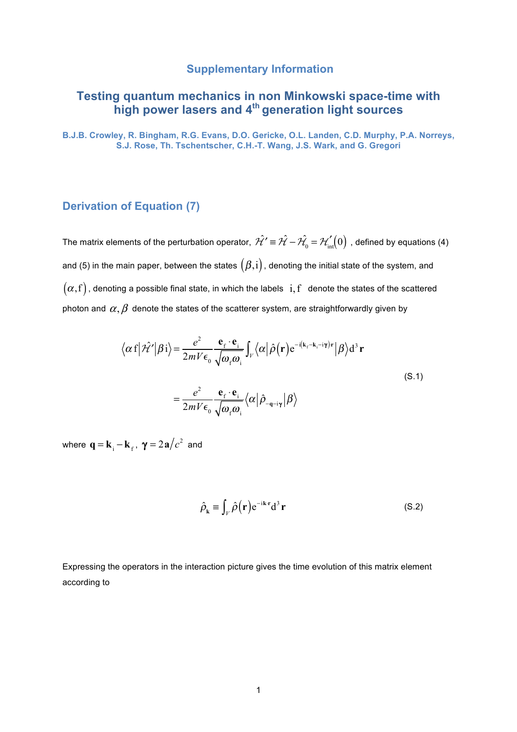### **Supplementary Information**

# **Testing quantum mechanics in non Minkowski space-time with high power lasers and 4th generation light sources**

**B.J.B. Crowley, R. Bingham, R.G. Evans, D.O. Gericke, O.L. Landen, C.D. Murphy, P.A. Norreys, S.J. Rose, Th. Tschentscher, C.H.-T. Wang, J.S. Wark, and G. Gregori**

## **Derivation of Equation (7)**

The matrix elements of the perturbation operator,  $\hat{\cal H'}$   $\equiv$   $\hat{\cal H}-\hat{\cal H_{\rm o}}=$   ${\cal H}^{'}_{\rm int}\!(0)$  , defined by equations (4) and (5) in the main paper, between the states  $(\beta, i)$ , denoting the initial state of the system, and  $(\alpha, f)$ , denoting a possible final state, in which the labels  $i, f$  denote the states of the scattered photon and  $\alpha$ ,  $\beta$  denote the states of the scatterer system, are straightforwardly given by

$$
\langle \alpha f | \hat{\mathcal{H}}' | \beta i \rangle = \frac{e^2}{2mV \epsilon_0} \frac{\mathbf{e}_f \cdot \mathbf{e}_i}{\sqrt{\omega_f \omega_i}} \int_V \langle \alpha | \hat{\rho} (\mathbf{r}) e^{-i(\mathbf{k}_f - \mathbf{k}_i - i\mathbf{\gamma})\mathbf{r}} | \beta \rangle d^3 \mathbf{r}
$$
  

$$
= \frac{e^2}{2mV \epsilon_0} \frac{\mathbf{e}_f \cdot \mathbf{e}_i}{\sqrt{\omega_f \omega_i}} \langle \alpha | \hat{\rho}_{-\mathbf{q}-i\mathbf{\gamma}} | \beta \rangle
$$
 (S.1)

where  ${\bf q} = {\bf k}_{\rm i} - {\bf k}_{\rm f}$ ,  ${\bf \gamma} = 2{\bf a}/c^2$  and

$$
\hat{\rho}_{\mathbf{k}} \equiv \int_{V} \hat{\rho}(\mathbf{r}) e^{-i\mathbf{k} \cdot \mathbf{r}} d^{3} \mathbf{r}
$$
 (S.2)

Expressing the operators in the interaction picture gives the time evolution of this matrix element according to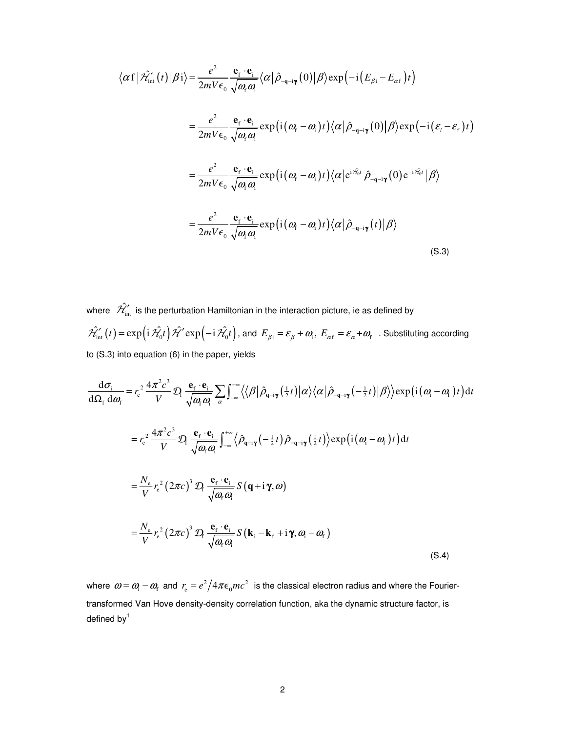$$
\langle \alpha f | \hat{\mathcal{H}}'_{int}(t) | \beta i \rangle = \frac{e^2}{2mV\epsilon_0} \frac{\mathbf{e}_f \cdot \mathbf{e}_i}{\sqrt{\omega_i \omega_i}} \langle \alpha | \hat{\rho}_{-q-i\gamma}(0) | \beta \rangle \exp\left(-i(E_{\beta i} - E_{\alpha f})t\right)
$$
  
\n
$$
= \frac{e^2}{2mV\epsilon_0} \frac{\mathbf{e}_f \cdot \mathbf{e}_i}{\sqrt{\omega_i \omega_i}} \exp\left(i(\omega_i - \omega_i)t\right) \langle \alpha | \hat{\rho}_{-q-i\gamma}(0) | \beta \rangle \exp\left(-i(\varepsilon_i - \varepsilon_i)t\right)
$$
  
\n
$$
= \frac{e^2}{2mV\epsilon_0} \frac{\mathbf{e}_f \cdot \mathbf{e}_i}{\sqrt{\omega_i \omega_i}} \exp\left(i(\omega_i - \omega_i)t\right) \langle \alpha | e^{i\hat{\mathcal{H}}_{0}t} \hat{\rho}_{-q-i\gamma}(0) e^{-i\hat{\mathcal{H}}_{0}t} | \beta \rangle
$$
  
\n
$$
= \frac{e^2}{2mV\epsilon_0} \frac{\mathbf{e}_f \cdot \mathbf{e}_i}{\sqrt{\omega_i \omega_i}} \exp\left(i(\omega_i - \omega_i)t\right) \langle \alpha | \hat{\rho}_{-q-i\gamma}(t) | \beta \rangle
$$
  
\n(S.3)

where  $\hat{\mathcal{H}}_{\rm int}^{\gamma}$  is the perturbation Hamiltonian in the interaction picture, ie as defined by  $\hat{\mathcal{H}}'_{\text{int}}(t) = \exp\left(i \hat{\mathcal{H}}_0 t\right) \hat{\mathcal{H}}' \exp\left(-i \hat{\mathcal{H}}_0 t\right)$ , and  $E_{\beta i} = \varepsilon_{\beta} + \omega_i$ ,  $E_{\alpha i} = \varepsilon_{\alpha} + \omega_i$ . Substituting according to (S.3) into equation (6) in the paper, yields

$$
\frac{d\sigma_{i}}{d\Omega_{f} d\omega_{f}} = r_{e}^{2} \frac{4\pi^{2} c^{3}}{V} \mathcal{D}_{f} \frac{\mathbf{e}_{f} \cdot \mathbf{e}_{i}}{\sqrt{\omega_{f} \omega_{f}}} \sum_{\alpha} \int_{-\infty}^{+\infty} \langle\langle\beta|\hat{\rho}_{q-i\gamma}(\frac{1}{2}t)|\alpha\rangle\langle\alpha|\hat{\rho}_{-q-i\gamma}(-\frac{1}{2}t)|\beta\rangle\rangle \exp(i(\omega_{i} - \omega_{f})t) dt
$$
\n
$$
= r_{e}^{2} \frac{4\pi^{2} c^{3}}{V} \mathcal{D}_{f} \frac{\mathbf{e}_{f} \cdot \mathbf{e}_{i}}{\sqrt{\omega_{f} \omega_{f}}} \int_{-\infty}^{+\infty} \langle\hat{\rho}_{q-i\gamma}(-\frac{1}{2}t)|\hat{\rho}_{-q-i\gamma}(\frac{1}{2}t)|\rangle \exp(i(\omega_{i} - \omega_{f})t) dt
$$
\n
$$
= \frac{N_{e}}{V} r_{e}^{2} (2\pi c)^{3} \mathcal{D}_{f} \frac{\mathbf{e}_{f} \cdot \mathbf{e}_{i}}{\sqrt{\omega_{f} \omega_{i}}} S(\mathbf{q} + i\gamma, \omega)
$$
\n
$$
= \frac{N_{e}}{V} r_{e}^{2} (2\pi c)^{3} \mathcal{D}_{f} \frac{\mathbf{e}_{f} \cdot \mathbf{e}_{i}}{\sqrt{\omega_{f} \omega_{i}}} S(\mathbf{k}_{i} - \mathbf{k}_{f} + i\gamma, \omega_{i} - \omega_{f})
$$
\n(S.4)

where  $\omega$  =  $\omega_{\rm i}$   $\omega_{\rm f}$  and  $\,$   $r_{\rm e}$  =  $e^2/4\pi\epsilon_{\rm o}$   $mc^2$   $\,$  is the classical electron radius and where the Fouriertransformed Van Hove density-density correlation function, aka the dynamic structure factor, is defined by $<sup>1</sup>$ </sup>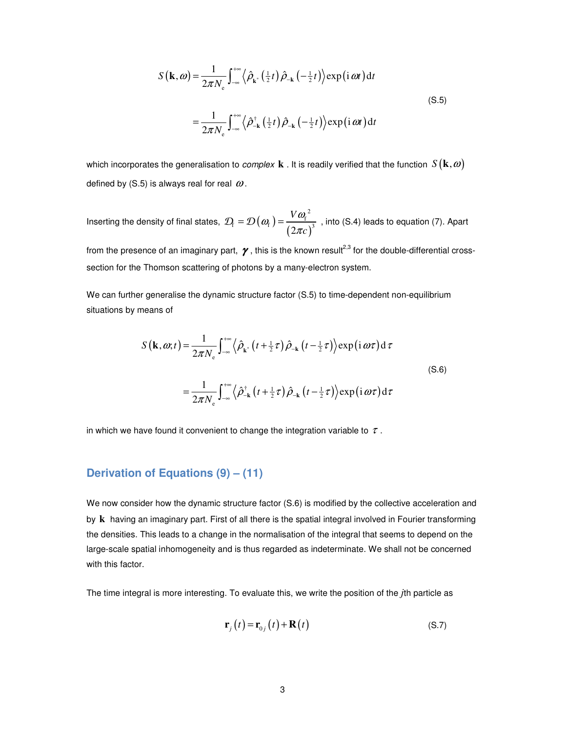$$
S(\mathbf{k}, \omega) = \frac{1}{2\pi N_{\rm e}} \int_{-\infty}^{+\infty} \langle \hat{\rho}_{\mathbf{k}^*}(\frac{1}{2}t) \hat{\rho}_{-\mathbf{k}}(-\frac{1}{2}t) \rangle \exp(i \omega t) dt
$$
  

$$
= \frac{1}{2\pi N_{\rm e}} \int_{-\infty}^{+\infty} \langle \hat{\rho}_{-\mathbf{k}}^{\dagger}(\frac{1}{2}t) \hat{\rho}_{-\mathbf{k}}(-\frac{1}{2}t) \rangle \exp(i \omega t) dt
$$
(S.5)

which incorporates the generalisation to *complex* **k** . It is readily verified that the function  $S(\mathbf{k}, \omega)$ defined by (S.5) is always real for real  $\omega$ .

Inserting the density of final states,  $\mathcal{D}_{\text{f}} = \mathcal{D}(\omega_{\text{f}}) = \frac{1 - \omega_{\text{f}}}{(2\pi c)}$  $Q_{\rm f} = \mathcal{D}\left(\omega_{\rm f}\right) = \frac{V\omega_{\rm f}^2}{\left(2\pi c\right)^3}$ *V c*  $(\omega_{\rm c}) = \frac{V \omega_{\rm f}}{V}$  $\mathcal{D}_{\rm f} = \mathcal{D}\left(\omega_{\rm f}\right) = \frac{V\omega_{\rm f}}{\left(2\pi c\right)^3}$ , into (S.4) leads to equation (7). Apart

from the presence of an imaginary part,  $\gamma$ , this is the known result<sup>2,3</sup> for the double-differential crosssection for the Thomson scattering of photons by a many-electron system.

We can further generalise the dynamic structure factor (S.5) to time-dependent non-equilibrium situations by means of

$$
S(\mathbf{k}, \omega; t) = \frac{1}{2\pi N_{\rm e}} \int_{-\infty}^{+\infty} \langle \hat{\rho}_{\mathbf{k}^*} (t + \frac{1}{2}\tau) \hat{\rho}_{-\mathbf{k}} (t - \frac{1}{2}\tau) \rangle \exp(i \omega \tau) d \tau
$$
  
\n
$$
= \frac{1}{2\pi N_{\rm e}} \int_{-\infty}^{+\infty} \langle \hat{\rho}_{-\mathbf{k}}^{\dagger} (t + \frac{1}{2}\tau) \hat{\rho}_{-\mathbf{k}} (t - \frac{1}{2}\tau) \rangle \exp(i \omega \tau) d \tau
$$
\n(S.6)

in which we have found it convenient to change the integration variable to  $\tau$ .

# **Derivation of Equations (9) – (11)**

We now consider how the dynamic structure factor (S.6) is modified by the collective acceleration and by **k** having an imaginary part. First of all there is the spatial integral involved in Fourier transforming the densities. This leads to a change in the normalisation of the integral that seems to depend on the large-scale spatial inhomogeneity and is thus regarded as indeterminate. We shall not be concerned with this factor.

The time integral is more interesting. To evaluate this, we write the position of the *j*th particle as

$$
\mathbf{r}_{j}\left(t\right) = \mathbf{r}_{0j}\left(t\right) + \mathbf{R}\left(t\right) \tag{S.7}
$$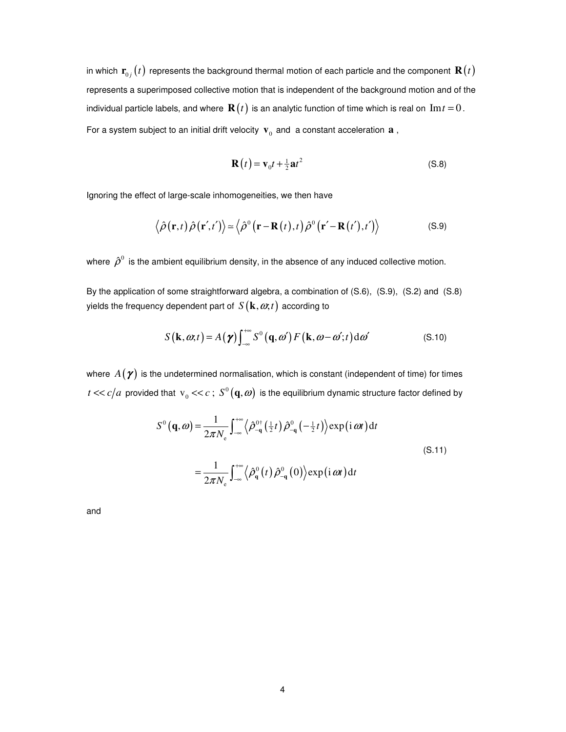in which  $\mathbf{r}_{0j}(t)$  represents the background thermal motion of each particle and the component  $\mathbf{R}(t)$ represents a superimposed collective motion that is independent of the background motion and of the individual particle labels, and where  $\mathbf{R}(t)$  is an analytic function of time which is real on  $\text{Im } t = 0$ . For a system subject to an initial drift velocity  $\mathbf{v}_0$  and a constant acceleration  $\mathbf{a}$ ,

$$
\mathbf{R}(t) = \mathbf{v}_0 t + \frac{1}{2} \mathbf{a} t^2
$$
 (S.8)

Ignoring the effect of large-scale inhomogeneities, we then have

$$
\langle \hat{\rho}(\mathbf{r},t) \hat{\rho}(\mathbf{r}',t') \rangle \approx \langle \hat{\rho}^0(\mathbf{r}-\mathbf{R}(t),t) \hat{\rho}^0(\mathbf{r}'-\mathbf{R}(t'),t') \rangle
$$
 (S.9)

where  $\hat{\rho}^0$  is the ambient equilibrium density, in the absence of any induced collective motion.

By the application of some straightforward algebra, a combination of (S.6), (S.9), (S.2) and (S.8) yields the frequency dependent part of  $S(\mathbf{k}, \omega, t)$  according to

$$
S(\mathbf{k}, \omega, t) = A(\boldsymbol{\gamma}) \int_{-\infty}^{+\infty} S^{0}(\mathbf{q}, \omega') F(\mathbf{k}, \omega - \omega'; t) d\omega'
$$
 (S.10)

where  $A(\gamma)$  is the undetermined normalisation, which is constant (independent of time) for times  $t \ll c/a$  provided that  $v_0 \ll c$ ;  $S^0(\mathbf{q}, \omega)$  is the equilibrium dynamic structure factor defined by

$$
S^{0}(\mathbf{q}, \omega) = \frac{1}{2\pi N_{\rm e}} \int_{-\infty}^{+\infty} \langle \hat{\rho}_{-\mathbf{q}}^{0\dagger}(\frac{1}{2}t) \hat{\rho}_{-\mathbf{q}}^{0}(-\frac{1}{2}t) \rangle \exp(i \omega t) dt
$$
  

$$
= \frac{1}{2\pi N_{\rm e}} \int_{-\infty}^{+\infty} \langle \hat{\rho}_{\mathbf{q}}^{0}(t) \hat{\rho}_{-\mathbf{q}}^{0}(0) \rangle \exp(i \omega t) dt
$$
(S.11)

and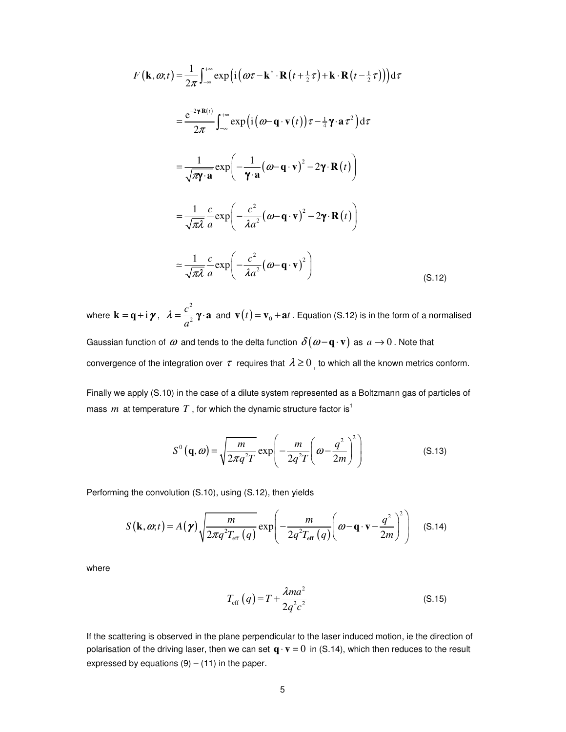$$
F(\mathbf{k}, \omega; t) = \frac{1}{2\pi} \int_{-\infty}^{+\infty} \exp\left(i\left(\omega\tau - \mathbf{k}^* \cdot \mathbf{R}\left(t + \frac{1}{2}\tau\right) + \mathbf{k} \cdot \mathbf{R}\left(t - \frac{1}{2}\tau\right)\right)\right) d\tau
$$
  
\n
$$
= \frac{e^{-2\gamma \mathbf{R}(t)}}{2\pi} \int_{-\infty}^{+\infty} \exp\left(i\left(\omega - \mathbf{q} \cdot \mathbf{v}(t)\right)\tau - \frac{1}{4}\gamma \cdot \mathbf{a}\tau^2\right) d\tau
$$
  
\n
$$
= \frac{1}{\sqrt{\pi\gamma} \cdot \mathbf{a}} \exp\left(-\frac{1}{\gamma \cdot \mathbf{a}}\left(\omega - \mathbf{q} \cdot \mathbf{v}\right)^2 - 2\gamma \cdot \mathbf{R}(t)\right)
$$
  
\n
$$
= \frac{1}{\sqrt{\pi\lambda}} \frac{c}{a} \exp\left(-\frac{c^2}{\lambda a^2}\left(\omega - \mathbf{q} \cdot \mathbf{v}\right)^2 - 2\gamma \cdot \mathbf{R}(t)\right)
$$
  
\n
$$
\approx \frac{1}{\sqrt{\pi\lambda}} \frac{c}{a} \exp\left(-\frac{c^2}{\lambda a^2}\left(\omega - \mathbf{q} \cdot \mathbf{v}\right)^2\right)
$$
(S.12)

where  $\mathbf{k} = \mathbf{q} + i \boldsymbol{\gamma}$ , 2 2 *c*  $\lambda = \frac{c}{a^2} \gamma \cdot \mathbf{a}$  and  $\mathbf{v}(t) = \mathbf{v}_0 + \mathbf{a}t$ . Equation (S.12) is in the form of a normalised Gaussian function of  $\omega$  and tends to the delta function  $\delta(\omega - \mathbf{q} \cdot \mathbf{v})$  as  $a \to 0$  . Note that

convergence of the integration over  $\tau$  requires that  $\lambda \geq 0$ , to which all the known metrics conform.

Finally we apply (S.10) in the case of a dilute system represented as a Boltzmann gas of particles of mass *m* at temperature  $T$ , for which the dynamic structure factor is<sup>1</sup>

$$
S^{0}(\mathbf{q}, \omega) = \sqrt{\frac{m}{2\pi q^{2}T}} \exp\left(-\frac{m}{2q^{2}T}\left(\omega - \frac{q^{2}}{2m}\right)^{2}\right)
$$
(S.13)

Performing the convolution (S.10), using (S.12), then yields

$$
S(\mathbf{k}, \omega; t) = A(\boldsymbol{\gamma}) \sqrt{\frac{m}{2\pi q^2 T_{\text{eff}}} (q)} \exp\left(-\frac{m}{2q^2 T_{\text{eff}}} (q) \left(\omega - \mathbf{q} \cdot \mathbf{v} - \frac{q^2}{2m}\right)^2\right) \quad (S.14)
$$

where

$$
T_{\rm eff} (q) = T + \frac{\lambda m a^2}{2q^2 c^2}
$$
 (S.15)

If the scattering is observed in the plane perpendicular to the laser induced motion, ie the direction of polarisation of the driving laser, then we can set  $\mathbf{q} \cdot \mathbf{v} = 0$  in (S.14), which then reduces to the result expressed by equations  $(9) - (11)$  in the paper.